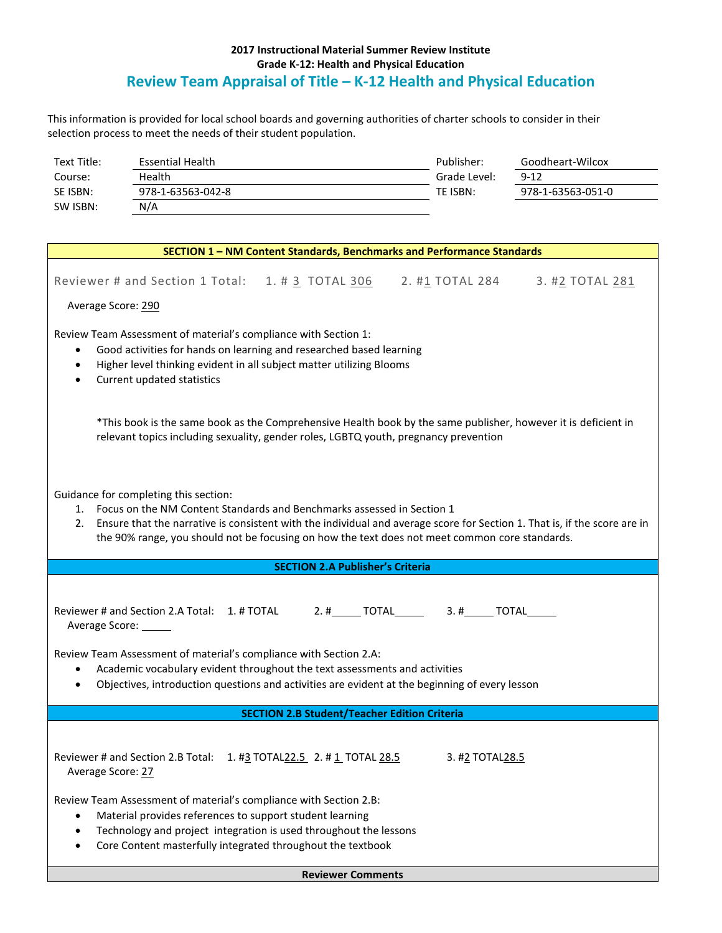## **2017 Instructional Material Summer Review Institute Grade K-12: Health and Physical Education Review Team Appraisal of Title – K-12 Health and Physical Education**

This information is provided for local school boards and governing authorities of charter schools to consider in their selection process to meet the needs of their student population.

| Text Title: | Essential Health  | Publisher:   | Goodheart-Wilcox  |
|-------------|-------------------|--------------|-------------------|
| Course:     | Health            | Grade Level: | $9 - 12$          |
| SE ISBN:    | 978-1-63563-042-8 | TE ISBN:     | 978-1-63563-051-0 |
| SW ISBN:    | N/A               |              |                   |

| Reviewer # and Section 1 Total: 1. # 3 TOTAL 306 2. #1 TOTAL 284 3. #2 TOTAL 281<br>Average Score: 290<br>Review Team Assessment of material's compliance with Section 1:<br>Good activities for hands on learning and researched based learning<br>٠<br>Higher level thinking evident in all subject matter utilizing Blooms<br>$\bullet$<br>Current updated statistics<br>$\bullet$<br>*This book is the same book as the Comprehensive Health book by the same publisher, however it is deficient in<br>relevant topics including sexuality, gender roles, LGBTQ youth, pregnancy prevention<br>Guidance for completing this section:<br>1. Focus on the NM Content Standards and Benchmarks assessed in Section 1<br>Ensure that the narrative is consistent with the individual and average score for Section 1. That is, if the score are in<br>2.<br>the 90% range, you should not be focusing on how the text does not meet common core standards.<br><b>SECTION 2.A Publisher's Criteria</b><br>Reviewer # and Section 2.A Total: 1. # TOTAL 2. #______ TOTAL_______ 3. #______ TOTAL_____<br>Average Score: ______ |
|------------------------------------------------------------------------------------------------------------------------------------------------------------------------------------------------------------------------------------------------------------------------------------------------------------------------------------------------------------------------------------------------------------------------------------------------------------------------------------------------------------------------------------------------------------------------------------------------------------------------------------------------------------------------------------------------------------------------------------------------------------------------------------------------------------------------------------------------------------------------------------------------------------------------------------------------------------------------------------------------------------------------------------------------------------------------------------------------------------------------------|
|                                                                                                                                                                                                                                                                                                                                                                                                                                                                                                                                                                                                                                                                                                                                                                                                                                                                                                                                                                                                                                                                                                                              |
|                                                                                                                                                                                                                                                                                                                                                                                                                                                                                                                                                                                                                                                                                                                                                                                                                                                                                                                                                                                                                                                                                                                              |
|                                                                                                                                                                                                                                                                                                                                                                                                                                                                                                                                                                                                                                                                                                                                                                                                                                                                                                                                                                                                                                                                                                                              |
|                                                                                                                                                                                                                                                                                                                                                                                                                                                                                                                                                                                                                                                                                                                                                                                                                                                                                                                                                                                                                                                                                                                              |
|                                                                                                                                                                                                                                                                                                                                                                                                                                                                                                                                                                                                                                                                                                                                                                                                                                                                                                                                                                                                                                                                                                                              |
|                                                                                                                                                                                                                                                                                                                                                                                                                                                                                                                                                                                                                                                                                                                                                                                                                                                                                                                                                                                                                                                                                                                              |
|                                                                                                                                                                                                                                                                                                                                                                                                                                                                                                                                                                                                                                                                                                                                                                                                                                                                                                                                                                                                                                                                                                                              |
| Review Team Assessment of material's compliance with Section 2.A:<br>Academic vocabulary evident throughout the text assessments and activities<br>$\bullet$<br>Objectives, introduction questions and activities are evident at the beginning of every lesson<br>$\bullet$                                                                                                                                                                                                                                                                                                                                                                                                                                                                                                                                                                                                                                                                                                                                                                                                                                                  |
| <b>SECTION 2.B Student/Teacher Edition Criteria</b>                                                                                                                                                                                                                                                                                                                                                                                                                                                                                                                                                                                                                                                                                                                                                                                                                                                                                                                                                                                                                                                                          |
| Reviewer # and Section 2.B Total: 1. #3 TOTAL22.5 2. #1 TOTAL 28.5<br>3. #2 TOTAL28.5<br>Average Score: 27                                                                                                                                                                                                                                                                                                                                                                                                                                                                                                                                                                                                                                                                                                                                                                                                                                                                                                                                                                                                                   |
| Review Team Assessment of material's compliance with Section 2.B:<br>Material provides references to support student learning<br>Technology and project integration is used throughout the lessons<br>Core Content masterfully integrated throughout the textbook                                                                                                                                                                                                                                                                                                                                                                                                                                                                                                                                                                                                                                                                                                                                                                                                                                                            |
|                                                                                                                                                                                                                                                                                                                                                                                                                                                                                                                                                                                                                                                                                                                                                                                                                                                                                                                                                                                                                                                                                                                              |